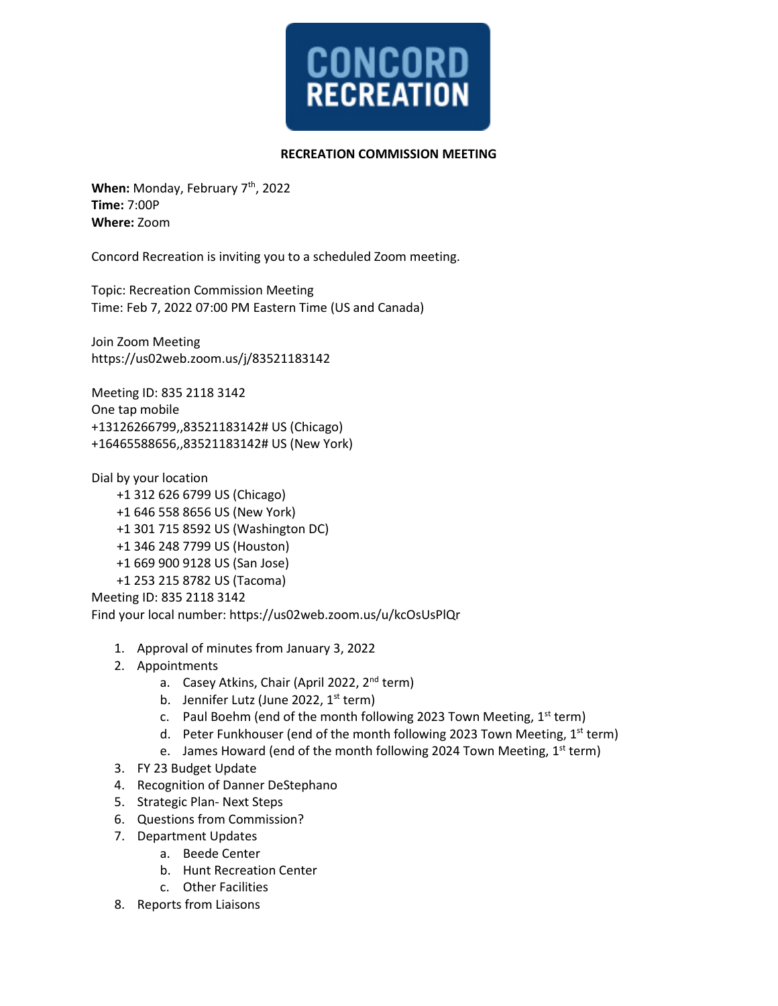

## **RECREATION COMMISSION MEETING**

When: Monday, February 7<sup>th</sup>, 2022 **Time:** 7:00P **Where:** Zoom

Concord Recreation is inviting you to a scheduled Zoom meeting.

Topic: Recreation Commission Meeting Time: Feb 7, 2022 07:00 PM Eastern Time (US and Canada)

Join Zoom Meeting https://us02web.zoom.us/j/83521183142

Meeting ID: 835 2118 3142 One tap mobile +13126266799,,83521183142# US (Chicago) +16465588656,,83521183142# US (New York)

Dial by your location

- +1 312 626 6799 US (Chicago) +1 646 558 8656 US (New York) +1 301 715 8592 US (Washington DC)
- +1 346 248 7799 US (Houston)
- +1 669 900 9128 US (San Jose)
- +1 253 215 8782 US (Tacoma)

Meeting ID: 835 2118 3142

Find your local number: https://us02web.zoom.us/u/kcOsUsPlQr

- 1. Approval of minutes from January 3, 2022
- 2. Appointments
	- a. Casey Atkins, Chair (April 2022, 2<sup>nd</sup> term)
	- b. Jennifer Lutz (June 2022,  $1<sup>st</sup>$  term)
	- c. Paul Boehm (end of the month following 2023 Town Meeting,  $1<sup>st</sup>$  term)
	- d. Peter Funkhouser (end of the month following 2023 Town Meeting, 1st term)
	- e. James Howard (end of the month following 2024 Town Meeting,  $1<sup>st</sup>$  term)
- 3. FY 23 Budget Update
- 4. Recognition of Danner DeStephano
- 5. Strategic Plan- Next Steps
- 6. Questions from Commission?
- 7. Department Updates
	- a. Beede Center
		- b. Hunt Recreation Center
		- c. Other Facilities
- 8. Reports from Liaisons